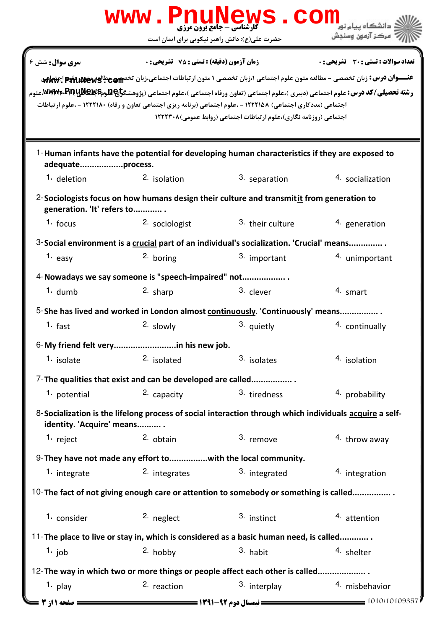|                            |                                                             | www.PnuNews.com<br><b>گارشناسی - جامع برون مرزی</b>                                                           |                                                                                                                                                                                                                                                                                       |
|----------------------------|-------------------------------------------------------------|---------------------------------------------------------------------------------------------------------------|---------------------------------------------------------------------------------------------------------------------------------------------------------------------------------------------------------------------------------------------------------------------------------------|
|                            |                                                             | حضرت علی(ع): دانش راهبر نیکویی برای ایمان است                                                                 | مركز آزمون وسنجش                                                                                                                                                                                                                                                                      |
| <b>سری سوال :</b> شش ۶     | زمان آزمون (دقیقه) : تستی : 75 ٪ تشریحی : 0                 |                                                                                                               | <b>تعداد سوالات : تستی : 30 ٪ تشریحی : 0</b>                                                                                                                                                                                                                                          |
|                            |                                                             | اجتماعی (مددکاری اجتماعی) ۱۲۲۲۱۵۸ - ،علوم اجتماعی (برنامه ریزی اجتماعی تعاون و رفاه) ۱۲۲۲۱۸۰ - ،علوم ارتباطات | <del>عنـــوان درس:</del> زبان تخصصی - مطالعه متون علوم اجتماعی ۱،زبان تخصصی ۱ متون ارتباطات اجتماعی،زبان تخصص عطالعه علیه علیه اجتماعی<br><b>رشته تحصیلی/کد درس:</b> علوم اجتماعی (دبیری )،علوم اجتماعی (تعاون ورفاه اجتماعی )،علوم اجتماعی (پژوهشگ <del>رای P</del> R و WWW،RRW ملوم |
|                            |                                                             | اجتماعی (روزنامه نگاری)،علوم ارتباطات اجتماعی (روابط عمومی) ۱۲۲۲۳۰۸                                           |                                                                                                                                                                                                                                                                                       |
| adequateprocess.           |                                                             | 1-Human infants have the potential for developing human characteristics if they are exposed to                |                                                                                                                                                                                                                                                                                       |
| 1. deletion                | 2. isolation                                                | 3. separation                                                                                                 | 4. socialization                                                                                                                                                                                                                                                                      |
| generation. 'It' refers to |                                                             | 2-Sociologists focus on how humans design their culture and transmit it from generation to                    |                                                                                                                                                                                                                                                                                       |
| $1.$ focus                 | 2. sociologist                                              | 3. their culture                                                                                              | 4. generation                                                                                                                                                                                                                                                                         |
|                            |                                                             | 3-Social environment is a crucial part of an individual's socialization. 'Crucial' means                      |                                                                                                                                                                                                                                                                                       |
| 1. $e$ asy                 | <sup>2.</sup> boring                                        | 3. important                                                                                                  | 4. unimportant                                                                                                                                                                                                                                                                        |
|                            | 4-Nowadays we say someone is "speech-impaired" not          |                                                                                                               |                                                                                                                                                                                                                                                                                       |
| $1.$ dumb                  | 2. sharp                                                    | 3. clever                                                                                                     | 4. smart                                                                                                                                                                                                                                                                              |
|                            |                                                             | 5-She has lived and worked in London almost continuously. 'Continuously' means                                |                                                                                                                                                                                                                                                                                       |
| $1.$ fast                  | 2. slowly                                                   | 3. quietly                                                                                                    | 4. continually                                                                                                                                                                                                                                                                        |
|                            |                                                             |                                                                                                               |                                                                                                                                                                                                                                                                                       |
| <sup>1.</sup> isolate      | 2. isolated                                                 | 3. isolates                                                                                                   | 4. isolation                                                                                                                                                                                                                                                                          |
|                            | 7-The qualities that exist and can be developed are called  |                                                                                                               |                                                                                                                                                                                                                                                                                       |
| 1. potential               | 2. capacity                                                 | 3. tiredness                                                                                                  | 4. probability                                                                                                                                                                                                                                                                        |
| identity. 'Acquire' means  |                                                             | 8-Socialization is the lifelong process of social interaction through which individuals acquire a self-       |                                                                                                                                                                                                                                                                                       |
| 1. reject                  | $2.$ obtain                                                 | 3. remove                                                                                                     | 4. throw away                                                                                                                                                                                                                                                                         |
|                            | 9-They have not made any effort towith the local community. |                                                                                                               |                                                                                                                                                                                                                                                                                       |
| 1. integrate               | 2. integrates                                               | 3. integrated                                                                                                 | 4. integration                                                                                                                                                                                                                                                                        |
|                            |                                                             | 10-The fact of not giving enough care or attention to somebody or something is called                         |                                                                                                                                                                                                                                                                                       |
| <sup>1.</sup> consider     | <sup>2.</sup> neglect                                       | 3. instinct                                                                                                   | 4. attention                                                                                                                                                                                                                                                                          |
|                            |                                                             | 11-The place to live or stay in, which is considered as a basic human need, is called                         |                                                                                                                                                                                                                                                                                       |
| 1. job                     | 2. hobby                                                    | 3. habit                                                                                                      | 4. shelter                                                                                                                                                                                                                                                                            |
|                            |                                                             | 12- The way in which two or more things or people affect each other is called                                 |                                                                                                                                                                                                                                                                                       |
| $1.$ play                  | 2. reaction                                                 | 3. interplay                                                                                                  | 4. misbehavior                                                                                                                                                                                                                                                                        |
| <b>صفحه 1 از 3</b> =       |                                                             |                                                                                                               | 1010/10109357                                                                                                                                                                                                                                                                         |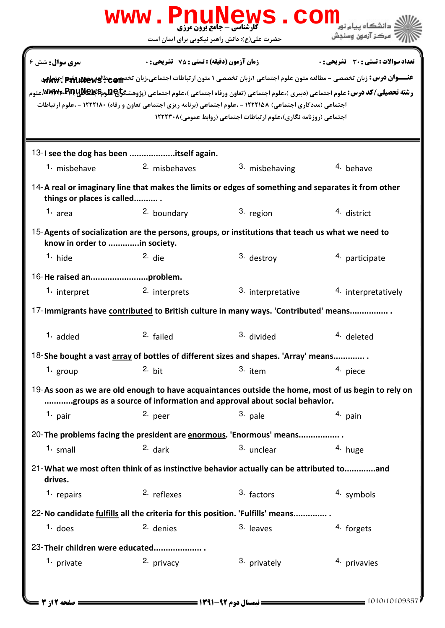|                                                                                                                                                                              | www.PnuNews.com<br><b>کارشناسی - جامع برون مرزی</b>                                                                                                                                                                                                                      |                                                                     |                                              |  |  |  |
|------------------------------------------------------------------------------------------------------------------------------------------------------------------------------|--------------------------------------------------------------------------------------------------------------------------------------------------------------------------------------------------------------------------------------------------------------------------|---------------------------------------------------------------------|----------------------------------------------|--|--|--|
|                                                                                                                                                                              | حضرت علی(ع): دانش راهبر نیکویی برای ایمان است                                                                                                                                                                                                                            |                                                                     | ' مرڪز آزمون وسنڊش                           |  |  |  |
| <b>سری سوال :</b> شش ۶                                                                                                                                                       | <b>زمان آزمون (دقیقه) : تستی : 75 ٪ تشریحی : 0</b><br>عنـــوان درس: زبان تخصصی - مطالعه متون علوم اجتماعی ۱،زبان تخصصی ۱ متون ارتباطات اجتماعی،زبان تخصص عطالعه عليه عليه عليه اجتماعي                                                                                   |                                                                     | <b>تعداد سوالات : تستی : 30 ٪ تشریحی : 0</b> |  |  |  |
|                                                                                                                                                                              | <b>رشته تحصیلی/کد درس:</b> علوم اجتماعی (دبیری )،علوم اجتماعی (تعاون ورفاه اجتماعی )،علوم اجتماعی (پژوهشگ <del>رای P</del> لوم <b>۱۶۳۴ MWM۶۰۰ ب</b> هرم<br>اجتماعی (مددکاری اجتماعی) ۱۲۲۲۱۵۸ - ،علوم اجتماعی (برنامه ریزی اجتماعی تعاون و رفاه) ۱۲۲۲۱۸۰ - ،علوم ارتباطات | اجتماعی (روزنامه نگاری)،علوم ارتباطات اجتماعی (روابط عمومی) ۱۲۲۲۳۰۸ |                                              |  |  |  |
|                                                                                                                                                                              | 13-I see the dog has been itself again.                                                                                                                                                                                                                                  |                                                                     |                                              |  |  |  |
| 1. misbehave                                                                                                                                                                 | 2. misbehaves                                                                                                                                                                                                                                                            | 3. misbehaving                                                      | 4. behave                                    |  |  |  |
| things or places is called                                                                                                                                                   | 14-A real or imaginary line that makes the limits or edges of something and separates it from other                                                                                                                                                                      |                                                                     |                                              |  |  |  |
| 1. <sub>area</sub>                                                                                                                                                           | 2. boundary                                                                                                                                                                                                                                                              | 3. region                                                           | 4. district                                  |  |  |  |
| know in order to in society.                                                                                                                                                 | 15-Agents of socialization are the persons, groups, or institutions that teach us what we need to                                                                                                                                                                        |                                                                     |                                              |  |  |  |
| $1.$ hide                                                                                                                                                                    | $2.$ die                                                                                                                                                                                                                                                                 | 3. destroy                                                          | 4. participate                               |  |  |  |
|                                                                                                                                                                              |                                                                                                                                                                                                                                                                          |                                                                     |                                              |  |  |  |
| 1. interpret                                                                                                                                                                 | 2. interprets                                                                                                                                                                                                                                                            | 3. interpretative                                                   | 4. interpretatively                          |  |  |  |
| 17-Immigrants have contributed to British culture in many ways. 'Contributed' means                                                                                          |                                                                                                                                                                                                                                                                          |                                                                     |                                              |  |  |  |
| 1. added                                                                                                                                                                     | 2. failed                                                                                                                                                                                                                                                                | 3. divided                                                          | 4. deleted                                   |  |  |  |
|                                                                                                                                                                              | 18-She bought a vast array of bottles of different sizes and shapes. 'Array' means                                                                                                                                                                                       |                                                                     |                                              |  |  |  |
| 1. $group$                                                                                                                                                                   | 2. bit                                                                                                                                                                                                                                                                   | $3.$ item                                                           | 4. piece                                     |  |  |  |
| 19-As soon as we are old enough to have acquaintances outside the home, most of us begin to rely on<br>groups as a source of information and approval about social behavior. |                                                                                                                                                                                                                                                                          |                                                                     |                                              |  |  |  |
| 1. $pair$                                                                                                                                                                    | 2. peer                                                                                                                                                                                                                                                                  | 3. pale                                                             | 4. pain                                      |  |  |  |
|                                                                                                                                                                              | 20-The problems facing the president are enormous. 'Enormous' means                                                                                                                                                                                                      |                                                                     |                                              |  |  |  |
| 1. small                                                                                                                                                                     | $2.$ dark                                                                                                                                                                                                                                                                | 3. unclear                                                          | 4. huge                                      |  |  |  |
| drives.                                                                                                                                                                      | 21-What we most often think of as instinctive behavior actually can be attributed toand                                                                                                                                                                                  |                                                                     |                                              |  |  |  |
| 1. repairs                                                                                                                                                                   | <sup>2.</sup> reflexes                                                                                                                                                                                                                                                   | 3. factors                                                          | 4. symbols                                   |  |  |  |
|                                                                                                                                                                              | 22-No candidate fulfills all the criteria for this position. 'Fulfills' means                                                                                                                                                                                            |                                                                     |                                              |  |  |  |
| $1.$ does                                                                                                                                                                    | 2. denies                                                                                                                                                                                                                                                                | 3. leaves                                                           | 4. forgets                                   |  |  |  |
|                                                                                                                                                                              | 23-Their children were educated                                                                                                                                                                                                                                          |                                                                     |                                              |  |  |  |
| 1. private                                                                                                                                                                   | 2. privacy                                                                                                                                                                                                                                                               | 3. privately                                                        | 4. privavies                                 |  |  |  |